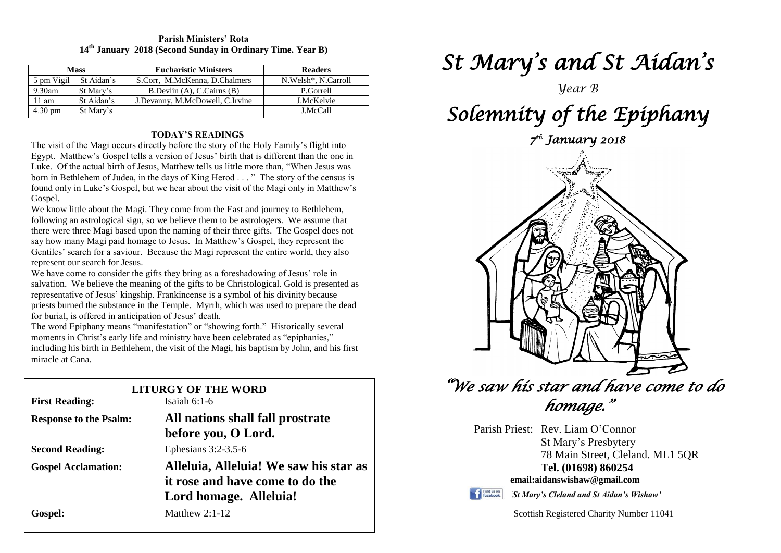### **Parish Ministers' Rota 14th January 2018 (Second Sunday in Ordinary Time. Year B)**

| <b>Mass</b>       |            | <b>Eucharistic Ministers</b>    | <b>Readers</b>                   |
|-------------------|------------|---------------------------------|----------------------------------|
| 5 pm Vigil        | St Aidan's | S.Corr, M.McKenna, D.Chalmers   | N.Welsh <sup>*</sup> , N.Carroll |
| $9.30$ am         | St Mary's  | B.Devlin (A), C.Cairns (B)      | P.Gorrell                        |
| $11 \text{ am}$   | St Aidan's | J.Devanny, M.McDowell, C.Irvine | J.McKelvie                       |
| $4.30 \text{ pm}$ | St Mary's  |                                 | J.McCall                         |

# **TODAY'S READINGS**

The visit of the Magi occurs directly before the story of the Holy Family's flight into Egypt. Matthew's Gospel tells a version of Jesus' birth that is different than the one in Luke. Of the actual birth of Jesus, Matthew tells us little more than, "When Jesus was born in Bethlehem of Judea, in the days of King Herod . . . " The story of the census is found only in Luke's Gospel, but we hear about the visit of the Magi only in Matthew's Gospel.

We know little about the Magi. They come from the East and journey to Bethlehem, following an astrological sign, so we believe them to be astrologers. We assume that there were three Magi based upon the naming of their three gifts. The Gospel does not say how many Magi paid homage to Jesus. In Matthew's Gospel, they represent the Gentiles' search for a saviour. Because the Magi represent the entire world, they also represent our search for Jesus.

priests burned the substance in the Temple. Myrrh, which was used to prepare the dead for burial, is offered in anticipation of Jesus' death. We have come to consider the gifts they bring as a foreshadowing of Jesus' role in salvation. We believe the meaning of the gifts to be Christological. Gold is presented as representative of Jesus' kingship. Frankincense is a symbol of his divinity because for burial, is offered in anticipation of Jesus' death.

moments in Christ's early life and ministry have been celebrated as "epiphanies,"<br>including his birth in Bethlehem, the visit of the Magi, his baptism by John, and hi The word Epiphany means "manifestation" or "showing forth." Historically several including his birth in Bethlehem, the visit of the Magi, his baptism by John, and his first miracle at Cana.

| ninaviv at Vana.              |                                        |  |  |  |
|-------------------------------|----------------------------------------|--|--|--|
| <b>LITURGY OF THE WORD</b>    |                                        |  |  |  |
| <b>First Reading:</b>         | Isaiah $6:1-6$                         |  |  |  |
| <b>Response to the Psalm:</b> | All nations shall fall prostrate       |  |  |  |
|                               | before you, O Lord.                    |  |  |  |
| <b>Second Reading:</b>        | Ephesians $3:2-3.5-6$                  |  |  |  |
| <b>Gospel Acclamation:</b>    | Alleluia, Alleluia! We saw his star as |  |  |  |
|                               | it rose and have come to do the        |  |  |  |
|                               | Lord homage. Alleluia!                 |  |  |  |
| Gospel:                       | Matthew $2:1-12$                       |  |  |  |
|                               |                                        |  |  |  |

# *St Mary's and St Aidan's*

*Year B* 

# *Solemnity of the Epiphany*

*7 th January 2018* 



# *"We saw his star and have come to do homage."*

Parish Priest: Rev. Liam O'Connor St Mary's Presbytery

78 Main Street, Cleland. ML1 5QR **Tel. (01698) 860254 email:aidanswishaw@gmail.com**



*'St Mary's Cleland and St Aidan's Wishaw'*

Scottish Registered Charity Number 11041